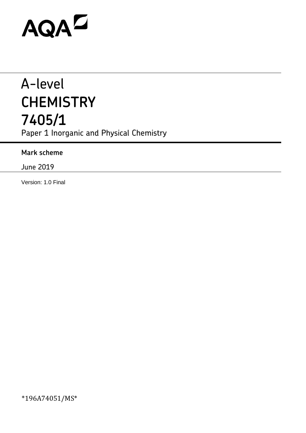# AQAZ

## A-level **CHEMISTRY 7405/1** Paper 1 Inorganic and Physical Chemistry

**Mark scheme**

June 2019

Version: 1.0 Final

\*196A74051/MS\*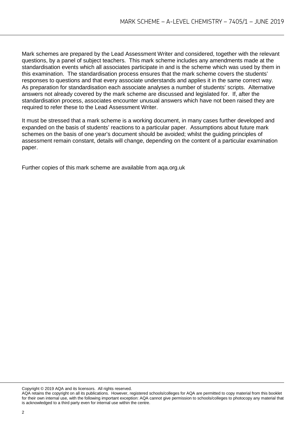Mark schemes are prepared by the Lead Assessment Writer and considered, together with the relevant questions, by a panel of subject teachers. This mark scheme includes any amendments made at the standardisation events which all associates participate in and is the scheme which was used by them in this examination. The standardisation process ensures that the mark scheme covers the students' responses to questions and that every associate understands and applies it in the same correct way. As preparation for standardisation each associate analyses a number of students' scripts. Alternative answers not already covered by the mark scheme are discussed and legislated for. If, after the standardisation process, associates encounter unusual answers which have not been raised they are required to refer these to the Lead Assessment Writer.

It must be stressed that a mark scheme is a working document, in many cases further developed and expanded on the basis of students' reactions to a particular paper. Assumptions about future mark schemes on the basis of one year's document should be avoided; whilst the guiding principles of assessment remain constant, details will change, depending on the content of a particular examination paper.

Further copies of this mark scheme are available from aqa.org.uk

Copyright © 2019 AQA and its licensors. All rights reserved.

AQA retains the copyright on all its publications. However, registered schools/colleges for AQA are permitted to copy material from this booklet for their own internal use, with the following important exception: AQA cannot give permission to schools/colleges to photocopy any material that is acknowledged to a third party even for internal use within the centre.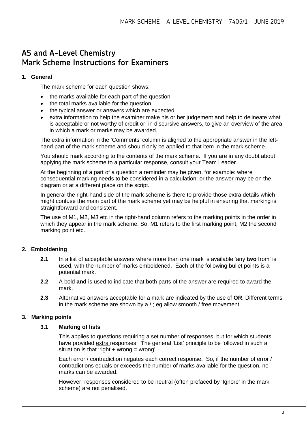### **AS and A-Level Chemistry Mark Scheme Instructions for Examiners**

#### **1. General**

The mark scheme for each question shows:

- the marks available for each part of the question
- the total marks available for the question
- the typical answer or answers which are expected
- extra information to help the examiner make his or her judgement and help to delineate what is acceptable or not worthy of credit or, in discursive answers, to give an overview of the area in which a mark or marks may be awarded.

The extra information in the 'Comments' column is aligned to the appropriate answer in the lefthand part of the mark scheme and should only be applied to that item in the mark scheme.

You should mark according to the contents of the mark scheme. If you are in any doubt about applying the mark scheme to a particular response, consult your Team Leader.

At the beginning of a part of a question a reminder may be given, for example: where consequential marking needs to be considered in a calculation; or the answer may be on the diagram or at a different place on the script.

In general the right-hand side of the mark scheme is there to provide those extra details which might confuse the main part of the mark scheme yet may be helpful in ensuring that marking is straightforward and consistent.

The use of M1, M2, M3 etc in the right-hand column refers to the marking points in the order in which they appear in the mark scheme. So, M1 refers to the first marking point, M2 the second marking point etc.

#### **2. Emboldening**

- **2.1** In a list of acceptable answers where more than one mark is available 'any **two** from' is used, with the number of marks emboldened. Each of the following bullet points is a potential mark.
- **2.2** A bold **and** is used to indicate that both parts of the answer are required to award the mark.
- **2.3** Alternative answers acceptable for a mark are indicated by the use of **OR**. Different terms in the mark scheme are shown by a / ; eg allow smooth / free movement.

#### **3. Marking points**

#### **3.1 Marking of lists**

This applies to questions requiring a set number of responses, but for which students have provided extra responses. The general 'List' principle to be followed in such a situation is that 'right  $+$  wrong = wrong'.

Each error / contradiction negates each correct response. So, if the number of error / contradictions equals or exceeds the number of marks available for the question, no marks can be awarded.

However, responses considered to be neutral (often prefaced by 'Ignore' in the mark scheme) are not penalised.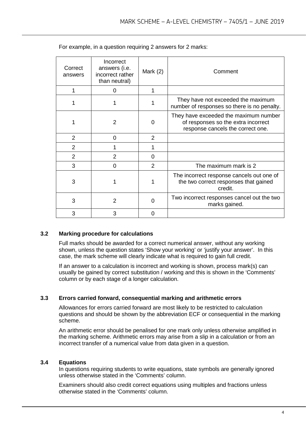| Correct<br>answers | Incorrect<br>answers (i.e.<br>incorrect rather<br>than neutral) | Mark $(2)$ | Comment                                                                                                           |
|--------------------|-----------------------------------------------------------------|------------|-------------------------------------------------------------------------------------------------------------------|
| 1                  | 0                                                               | 1          |                                                                                                                   |
|                    |                                                                 |            | They have not exceeded the maximum<br>number of responses so there is no penalty.                                 |
|                    | 2                                                               | 0          | They have exceeded the maximum number<br>of responses so the extra incorrect<br>response cancels the correct one. |
| 2                  | 0                                                               | 2          |                                                                                                                   |
| 2                  |                                                                 |            |                                                                                                                   |
| $\overline{2}$     | 2                                                               | $\Omega$   |                                                                                                                   |
| 3                  | 0                                                               | 2          | The maximum mark is 2                                                                                             |
| 3                  |                                                                 | 1          | The incorrect response cancels out one of<br>the two correct responses that gained<br>credit.                     |
| 3                  | $\overline{2}$                                                  | $\Omega$   | Two incorrect responses cancel out the two<br>marks gained.                                                       |
| 3                  | 3                                                               | 0          |                                                                                                                   |

For example, in a question requiring 2 answers for 2 marks:

#### **3.2 Marking procedure for calculations**

Full marks should be awarded for a correct numerical answer, without any working shown, unless the question states 'Show your working' or 'justify your answer'. In this case, the mark scheme will clearly indicate what is required to gain full credit.

If an answer to a calculation is incorrect and working is shown, process mark(s) can usually be gained by correct substitution / working and this is shown in the 'Comments' column or by each stage of a longer calculation.

#### **3.3 Errors carried forward, consequential marking and arithmetic errors**

Allowances for errors carried forward are most likely to be restricted to calculation questions and should be shown by the abbreviation ECF or consequential in the marking scheme.

An arithmetic error should be penalised for one mark only unless otherwise amplified in the marking scheme. Arithmetic errors may arise from a slip in a calculation or from an incorrect transfer of a numerical value from data given in a question.

#### **3.4 Equations**

In questions requiring students to write equations, state symbols are generally ignored unless otherwise stated in the 'Comments' column.

Examiners should also credit correct equations using multiples and fractions unless otherwise stated in the 'Comments' column.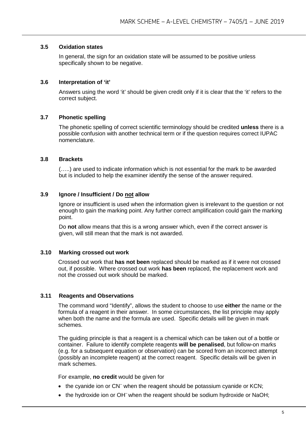#### **3.5 Oxidation states**

In general, the sign for an oxidation state will be assumed to be positive unless specifically shown to be negative.

#### **3.6 Interpretation of 'it'**

Answers using the word 'it' should be given credit only if it is clear that the 'it' refers to the correct subject.

#### **3.7 Phonetic spelling**

The phonetic spelling of correct scientific terminology should be credited **unless** there is a possible confusion with another technical term or if the question requires correct IUPAC nomenclature.

#### **3.8 Brackets**

(…..) are used to indicate information which is not essential for the mark to be awarded but is included to help the examiner identify the sense of the answer required.

#### **3.9 Ignore / Insufficient / Do not allow**

Ignore or insufficient is used when the information given is irrelevant to the question or not enough to gain the marking point. Any further correct amplification could gain the marking point.

Do **not** allow means that this is a wrong answer which, even if the correct answer is given, will still mean that the mark is not awarded.

#### **3.10 Marking crossed out work**

Crossed out work that **has not been** replaced should be marked as if it were not crossed out, if possible. Where crossed out work **has been** replaced, the replacement work and not the crossed out work should be marked.

#### **3.11 Reagents and Observations**

The command word "Identify", allows the student to choose to use **either** the name or the formula of a reagent in their answer. In some circumstances, the list principle may apply when both the name and the formula are used. Specific details will be given in mark schemes.

The guiding principle is that a reagent is a chemical which can be taken out of a bottle or container. Failure to identify complete reagents **will be penalised**, but follow-on marks (e.g. for a subsequent equation or observation) can be scored from an incorrect attempt (possibly an incomplete reagent) at the correct reagent. Specific details will be given in mark schemes.

For example, **no credit** would be given for

- the cyanide ion or CN<sup>-</sup> when the reagent should be potassium cyanide or KCN:
- the hydroxide ion or OH<sup>-</sup> when the reagent should be sodium hydroxide or NaOH;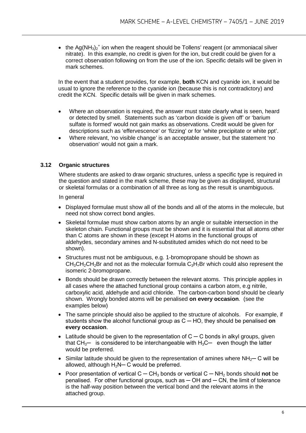• the  $Ag(NH<sub>3</sub>)<sub>2</sub><sup>+</sup>$  ion when the reagent should be Tollens' reagent (or ammoniacal silver nitrate). In this example, no credit is given for the ion, but credit could be given for a correct observation following on from the use of the ion. Specific details will be given in mark schemes.

In the event that a student provides, for example, **both** KCN and cyanide ion, it would be usual to ignore the reference to the cyanide ion (because this is not contradictory) and credit the KCN. Specific details will be given in mark schemes.

- Where an observation is required, the answer must state clearly what is seen, heard or detected by smell. Statements such as 'carbon dioxide is given off' or 'barium sulfate is formed' would not gain marks as observations. Credit would be given for descriptions such as 'effervescence' or 'fizzing' or for 'white precipitate or white ppt'.
- Where relevant, 'no visible change' is an acceptable answer, but the statement 'no observation' would not gain a mark.

#### **3.12 Organic structures**

Where students are asked to draw organic structures, unless a specific type is required in the question and stated in the mark scheme, these may be given as displayed, structural or skeletal formulas or a combination of all three as long as the result is unambiguous.

In general

- Displayed formulae must show all of the bonds and all of the atoms in the molecule, but need not show correct bond angles.
- Skeletal formulae must show carbon atoms by an angle or suitable intersection in the skeleton chain. Functional groups must be shown and it is essential that all atoms other than C atoms are shown in these (except H atoms in the functional groups of aldehydes, secondary amines and N-substituted amides which do not need to be shown).
- Structures must not be ambiguous, e.g. 1-bromopropane should be shown as  $CH<sub>3</sub>CH<sub>2</sub>CH<sub>2</sub>Br$  and not as the molecular formula  $C<sub>3</sub>H<sub>7</sub>Br$  which could also represent the isomeric 2-bromopropane.
- Bonds should be drawn correctly between the relevant atoms. This principle applies in all cases where the attached functional group contains a carbon atom, e.g nitrile, carboxylic acid, aldehyde and acid chloride. The carbon-carbon bond should be clearly shown. Wrongly bonded atoms will be penalised **on every occasion**. (see the examples below)
- The same principle should also be applied to the structure of alcohols. For example, if students show the alcohol functional group as C ─ HO, they should be penalised **on every occasion**.
- Latitude should be given to the representation of  $C C$  bonds in alkyl groups, given that  $CH_3$ — is considered to be interchangeable with  $H_3C$ — even though the latter would be preferred.
- Similar latitude should be given to the representation of amines where  $NH<sub>2</sub>$  C will be allowed, although  $H_2N-C$  would be preferred.
- Poor presentation of vertical C ─ CH<sup>3</sup> bonds or vertical C ─ NH<sup>2</sup> bonds should **not** be penalised. For other functional groups, such as  $-$  OH and  $-$  CN, the limit of tolerance is the half-way position between the vertical bond and the relevant atoms in the attached group.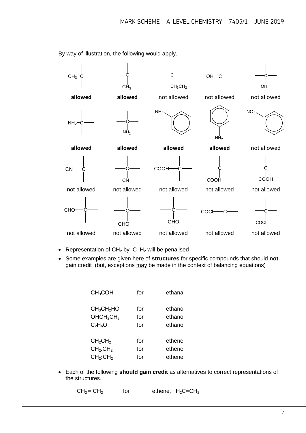

By way of illustration, the following would apply.

- Representation of CH2 by C−H2 will be penalised
- Some examples are given here of **structures** for specific compounds that should **not** gain credit (but, exceptions may be made in the context of balancing equations)

| CH <sub>3</sub> COH                | for | ethanal |
|------------------------------------|-----|---------|
| CH <sub>3</sub> CH <sub>2</sub> HO | for | ethanol |
| OHCH <sub>2</sub> CH <sub>3</sub>  | for | ethanol |
| $C_2H_6O$                          | for | ethanol |
| CH <sub>2</sub> CH <sub>2</sub>    | for | ethene  |
| CH <sub>2</sub> .CH <sub>2</sub>   | for | ethene  |
| CH <sub>2</sub> :CH <sub>2</sub>   | for | ethene  |

• Each of the following **should gain credit** as alternatives to correct representations of the structures.

```
CH_2 = CH_2 for ethene, H_2C=CH_2
```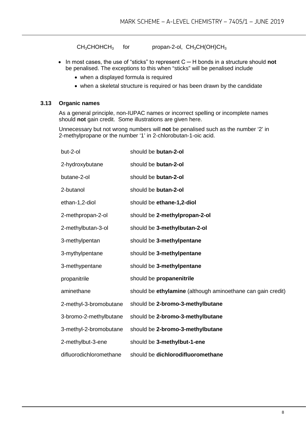$CH<sub>3</sub>CHOHCH<sub>3</sub>$  for propan-2-ol,  $CH<sub>3</sub>CH(OH)CH<sub>3</sub>$ 

- In most cases, the use of "sticks" to represent C ─ H bonds in a structure should **not** be penalised. The exceptions to this when "sticks" will be penalised include
	- when a displayed formula is required
	- when a skeletal structure is required or has been drawn by the candidate

#### **3.13 Organic names**

As a general principle, non-IUPAC names or incorrect spelling or incomplete names should **not** gain credit. Some illustrations are given here.

Unnecessary but not wrong numbers will **not** be penalised such as the number '2' in 2-methylpropane or the number '1' in 2-chlorobutan-1-oic acid.

| but-2-ol                | should be butan-2-ol                                        |
|-------------------------|-------------------------------------------------------------|
| 2-hydroxybutane         | should be butan-2-ol                                        |
| butane-2-ol             | should be butan-2-ol                                        |
| 2-butanol               | should be butan-2-ol                                        |
| ethan-1,2-diol          | should be ethane-1,2-diol                                   |
| 2-methpropan-2-ol       | should be 2-methylpropan-2-ol                               |
| 2-methylbutan-3-ol      | should be 3-methylbutan-2-ol                                |
| 3-methylpentan          | should be 3-methylpentane                                   |
| 3-mythylpentane         | should be 3-methylpentane                                   |
| 3-methypentane          | should be 3-methylpentane                                   |
| propanitrile            | should be propanenitrile                                    |
| aminethane              | should be ethylamine (although aminoethane can gain credit) |
| 2-methyl-3-bromobutane  | should be 2-bromo-3-methylbutane                            |
| 3-bromo-2-methylbutane  | should be 2-bromo-3-methylbutane                            |
| 3-methyl-2-bromobutane  | should be 2-bromo-3-methylbutane                            |
| 2-methylbut-3-ene       | should be 3-methylbut-1-ene                                 |
| difluorodichloromethane | should be dichlorodifluoromethane                           |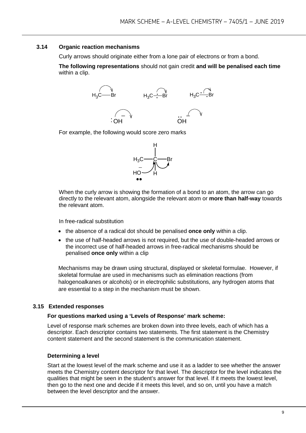#### **3.14 Organic reaction mechanisms**

Curly arrows should originate either from a lone pair of electrons or from a bond.

**The following representations** should not gain credit **and will be penalised each time**  within a clip.



For example, the following would score zero marks



When the curly arrow is showing the formation of a bond to an atom, the arrow can go directly to the relevant atom, alongside the relevant atom or **more than half-way** towards the relevant atom.

In free-radical substitution

- the absence of a radical dot should be penalised **once only** within a clip.
- the use of half-headed arrows is not required, but the use of double-headed arrows or the incorrect use of half-headed arrows in free-radical mechanisms should be penalised **once only** within a clip

Mechanisms may be drawn using structural, displayed or skeletal formulae. However, if skeletal formulae are used in mechanisms such as elimination reactions (from halogenoalkanes or alcohols) or in electrophilic substitutions, any hydrogen atoms that are essential to a step in the mechanism must be shown.

#### **3.15 Extended responses**

#### **For questions marked using a 'Levels of Response' mark scheme:**

Level of response mark schemes are broken down into three levels, each of which has a descriptor. Each descriptor contains two statements. The first statement is the Chemistry content statement and the second statement is the communication statement.

#### **Determining a level**

Start at the lowest level of the mark scheme and use it as a ladder to see whether the answer meets the Chemistry content descriptor for that level. The descriptor for the level indicates the qualities that might be seen in the student's answer for that level. If it meets the lowest level, then go to the next one and decide if it meets this level, and so on, until you have a match between the level descriptor and the answer.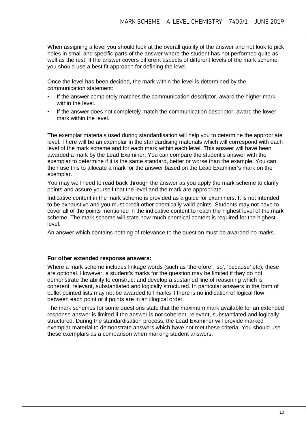When assigning a level you should look at the overall quality of the answer and not look to pick holes in small and specific parts of the answer where the student has not performed quite as well as the rest. If the answer covers different aspects of different levels of the mark scheme you should use a best fit approach for defining the level.

Once the level has been decided, the mark within the level is determined by the communication statement:

- If the answer completely matches the communication descriptor, award the higher mark within the level.
- If the answer does not completely match the communication descriptor, award the lower mark within the level.

The exemplar materials used during standardisation will help you to determine the appropriate level. There will be an exemplar in the standardising materials which will correspond with each level of the mark scheme and for each mark within each level. This answer will have been awarded a mark by the Lead Examiner. You can compare the student's answer with the exemplar to determine if it is the same standard, better or worse than the example. You can then use this to allocate a mark for the answer based on the Lead Examiner's mark on the exemplar.

You may well need to read back through the answer as you apply the mark scheme to clarify points and assure yourself that the level and the mark are appropriate.

Indicative content in the mark scheme is provided as a guide for examiners. It is not intended to be exhaustive and you must credit other chemically valid points. Students may not have to cover all of the points mentioned in the indicative content to reach the highest level of the mark scheme. The mark scheme will state how much chemical content is required for the highest level.

An answer which contains nothing of relevance to the question must be awarded no marks.

#### **For other extended response answers:**

Where a mark scheme includes linkage words (such as 'therefore', 'so', 'because' etc), these are optional. However, a student's marks for the question may be limited if they do not demonstrate the ability to construct and develop a sustained line of reasoning which is coherent, relevant, substantiated and logically structured. In particular answers in the form of bullet pointed lists may not be awarded full marks if there is no indication of logical flow between each point or if points are in an illogical order.

The mark schemes for some questions state that the maximum mark available for an extended response answer is limited if the answer is not coherent, relevant, substantiated and logically structured. During the standardisation process, the Lead Examiner will provide marked exemplar material to demonstrate answers which have not met these criteria. You should use these exemplars as a comparison when marking student answers.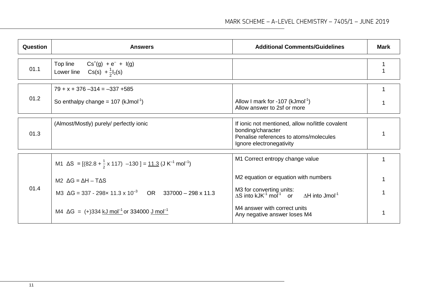| <b>Question</b> | <b>Answers</b>                                                                                                                                                                                                                                                                                                         | <b>Additional Comments/Guidelines</b>                                                                                                                                                                                                                            | <b>Mark</b> |
|-----------------|------------------------------------------------------------------------------------------------------------------------------------------------------------------------------------------------------------------------------------------------------------------------------------------------------------------------|------------------------------------------------------------------------------------------------------------------------------------------------------------------------------------------------------------------------------------------------------------------|-------------|
| 01.1            | $Cs^{+}(g) + e^{-} + I(g)$<br>Top line<br>Lower line $Cs(s) + \frac{1}{2}I_2(s)$                                                                                                                                                                                                                                       |                                                                                                                                                                                                                                                                  |             |
| 01.2            | $79 + x + 376 - 314 = -337 + 585$<br>So enthalpy change = $107$ (kJmol <sup>-1</sup> )                                                                                                                                                                                                                                 | Allow I mark for -107 ( $kJmol^{-1}$ )<br>Allow answer to 2sf or more                                                                                                                                                                                            | 1           |
| 01.3            | (Almost/Mostly) purely/ perfectly ionic                                                                                                                                                                                                                                                                                | If ionic not mentioned, allow no/little covalent<br>bonding/character<br>Penalise references to atoms/molecules<br>Ignore electronegativity                                                                                                                      |             |
| 01.4            | M1 $\Delta S = [(82.8 + \frac{1}{2} \times 117) -130] = \frac{11.3}{3} (J K^{-1} mol^{-1})$<br>$M2 \Delta G = \Delta H - T\Delta S$<br>M3 $\Delta G = 337 - 298 \times 11.3 \times 10^{-3}$ OR 337000 - 298 x 11.3<br>M4 $\Delta G = (+)334 \text{ kJ} \text{ mol}^{-1} \text{ or } 334000 \text{ J} \text{ mol}^{-1}$ | M1 Correct entropy change value<br>M2 equation or equation with numbers<br>M3 for converting units:<br>$\Delta S$ into kJK <sup>-1</sup> mol <sup>-1</sup> or $\Delta H$ into Jmol <sup>-1</sup><br>M4 answer with correct units<br>Any negative answer loses M4 |             |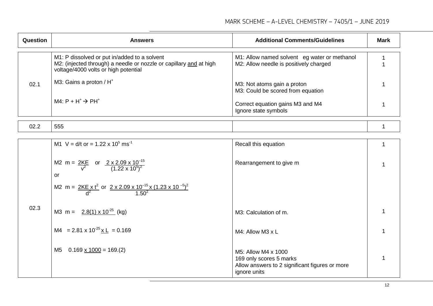| <b>Question</b> | <b>Answers</b>                                                                                                                                             | <b>Additional Comments/Guidelines</b>                                                  | <b>Mark</b> |
|-----------------|------------------------------------------------------------------------------------------------------------------------------------------------------------|----------------------------------------------------------------------------------------|-------------|
|                 | M1: P dissolved or put in/added to a solvent<br>M2: (injected through) a needle or nozzle or capillary and at high<br>voltage/4000 volts or high potential | M1: Allow named solvent eg water or methanol<br>M2: Allow needle is positively charged |             |
| 02.1            | M3: Gains a proton / H <sup>+</sup>                                                                                                                        | M3: Not atoms gain a proton<br>M3: Could be scored from equation                       |             |
|                 | $MA: P + H^+ \rightarrow PH^+$                                                                                                                             | Correct equation gains M3 and M4<br>Ignore state symbols                               |             |
|                 |                                                                                                                                                            |                                                                                        |             |

| $\sim$ $\sim$<br><b>UZ.Z</b> | ---<br>~~<br>ິ |  |
|------------------------------|----------------|--|
|                              |                |  |

|      | M1 V = $d/t$ or = 1.22 x 10 <sup>5</sup> ms <sup>-1</sup>                                                            | Recall this equation                                                                                             |  |
|------|----------------------------------------------------------------------------------------------------------------------|------------------------------------------------------------------------------------------------------------------|--|
|      | M2 m = $\frac{2KE}{v^2}$ or $\frac{2 \times 2.09 \times 10^{-15}}{(1.22 \times 10^5)^2}$<br>or                       | Rearrangement to give m                                                                                          |  |
|      | M2 m = $\frac{2KE \times t^2}{d^2}$ or $\frac{2 \times 2.09 \times 10^{-15} \times (1.23 \times 10^{-5})^2}{1.50^2}$ |                                                                                                                  |  |
| 02.3 | M3 m = $2.8(1) \times 10^{-25}$ (kg)                                                                                 | M3: Calculation of m.                                                                                            |  |
|      | M4 = 2.81 x $10^{-25}$ x L = 0.169                                                                                   | M4: Allow M3 x L                                                                                                 |  |
|      | M5<br>$0.169 \times 1000 = 169(2)$                                                                                   | M5: Allow M4 x 1000<br>169 only scores 5 marks<br>Allow answers to 2 significant figures or more<br>ignore units |  |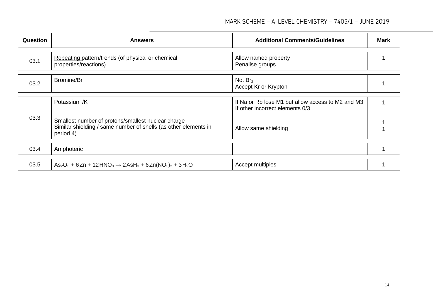| Question | <b>Answers</b>                                                               | <b>Additional Comments/Guidelines</b>                                                | <b>Mark</b> |
|----------|------------------------------------------------------------------------------|--------------------------------------------------------------------------------------|-------------|
| 03.1     | Repeating pattern/trends (of physical or chemical<br>properties/reactions)   | Allow named property<br>Penalise groups                                              |             |
| 03.2     | <b>Bromine/Br</b>                                                            | Not $Br2$<br>Accept Kr or Krypton                                                    |             |
| 03.3     | Potassium /K<br>Smallest number of protons/smallest nuclear charge           | If Na or Rb lose M1 but allow access to M2 and M3<br>If other incorrect elements 0/3 |             |
|          | Similar shielding / same number of shells (as other elements in<br>period 4) | Allow same shielding                                                                 |             |
| 03.4     | Amphoteric                                                                   |                                                                                      |             |
| 03.5     | $As_2O_3 + 6Zn + 12HNO_3 \rightarrow 2AsH_3 + 6Zn(NO_3)_2 + 3H_2O$           | Accept multiples                                                                     |             |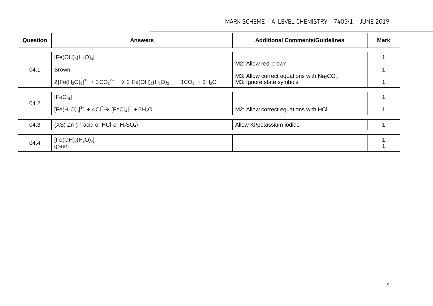#### MARK SCHEME – A-LEVEL CHEMISTRY – 7405/1 – JUNE 2019

| <b>Question</b> | <b>Answers</b>                                                                                                                     | <b>Additional Comments/Guidelines</b>     | <b>Mark</b> |
|-----------------|------------------------------------------------------------------------------------------------------------------------------------|-------------------------------------------|-------------|
|                 | $[Fe(OH)3(H2O)3]$                                                                                                                  | M2: Allow red-brown                       |             |
| 04.1            | <b>Brown</b>                                                                                                                       | M3: Allow correct equations with $Na2CO3$ |             |
|                 | $2[Fe(H2O)6]3+ + 3CO32 \rightarrow$ 2[Fe(OH) <sub>3</sub> (H <sub>2</sub> O) <sub>3</sub> ] + 3CO <sub>2</sub> + 3H <sub>2</sub> O | M3: Ignore state symbols                  |             |
|                 | [FeCl <sub>4</sub> ]                                                                                                               |                                           |             |
| 04.2            | $[Fe(H2O)6]3+ + 4Cl- \rightarrow [FeCl4]- + 6H2O$                                                                                  | M2: Allow correct equations with HCI      |             |
| 04.3            | $(XS)$ Zn (in acid or HCl or $H_2SO_4$ )                                                                                           | Allow KI/potassium iodide                 |             |
| 04.4            | $[Fe(OH)2(H2O)4]$                                                                                                                  |                                           |             |
|                 | green                                                                                                                              |                                           |             |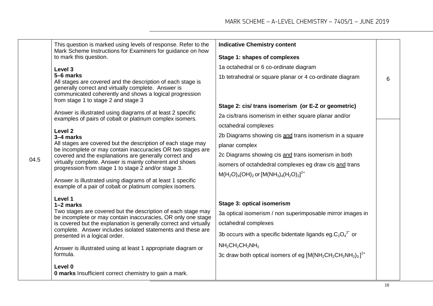|      | This question is marked using levels of response. Refer to the<br>Mark Scheme Instructions for Examiners for guidance on how                                                                                                      | <b>Indicative Chemistry content</b>                               |   |
|------|-----------------------------------------------------------------------------------------------------------------------------------------------------------------------------------------------------------------------------------|-------------------------------------------------------------------|---|
|      | to mark this question.                                                                                                                                                                                                            | <b>Stage 1: shapes of complexes</b>                               |   |
|      | Level 3                                                                                                                                                                                                                           | 1a octahedral or 6 co-ordinate diagram                            |   |
|      | 5-6 marks<br>All stages are covered and the description of each stage is<br>generally correct and virtually complete. Answer is<br>communicated coherently and shows a logical progression<br>from stage 1 to stage 2 and stage 3 | 1b tetrahedral or square planar or 4 co-ordinate diagram          | 6 |
|      |                                                                                                                                                                                                                                   | Stage 2: cis/ trans isomerism (or E-Z or geometric)               |   |
|      | Answer is illustrated using diagrams of at least 2 specific<br>examples of pairs of cobalt or platinum complex isomers.                                                                                                           | 2a cis/trans isomerism in either square planar and/or             |   |
|      | Level 2                                                                                                                                                                                                                           | octahedral complexes                                              |   |
|      | 3-4 marks                                                                                                                                                                                                                         | 2b Diagrams showing cis and trans isomerism in a square           |   |
|      | All stages are covered but the description of each stage may<br>be incomplete or may contain inaccuracies OR two stages are                                                                                                       | planar complex                                                    |   |
| 04.5 | covered and the explanations are generally correct and                                                                                                                                                                            | 2c Diagrams showing cis and trans isomerism in both               |   |
|      | virtually complete. Answer is mainly coherent and shows<br>progression from stage 1 to stage 2 and/or stage 3.                                                                                                                    | isomers of octahdedral complexes eg draw cis and trans            |   |
|      | Answer is illustrated using diagrams of at least 1 specific<br>example of a pair of cobalt or platinum complex isomers.                                                                                                           | $M(H_2O)_4(OH)_2$ or $[M(NH_3)_4(H_2O)_2]^{2+}$                   |   |
|      | Level 1<br>$1-2$ marks                                                                                                                                                                                                            | Stage 3: optical isomerism                                        |   |
|      | Two stages are covered but the description of each stage may                                                                                                                                                                      | 3a optical isomerism / non superimposable mirror images in        |   |
|      | be incomplete or may contain inaccuracies, OR only one stage<br>is covered but the explanation is generally correct and virtually                                                                                                 | octahedral complexes                                              |   |
|      | complete. Answer includes isolated statements and these are                                                                                                                                                                       | 3b occurs with a specific bidentate ligands eg. $C_2O_4^{2^2}$ or |   |
|      | presented in a logical order.                                                                                                                                                                                                     |                                                                   |   |
|      | Answer is illustrated using at least 1 appropriate diagram or                                                                                                                                                                     | $NH2CH2CH2NH2$                                                    |   |
|      | formula.                                                                                                                                                                                                                          | 3c draw both optical isomers of eg $[M(NH_2CH_2CH_2NH_2)_3]^{2+}$ |   |
|      | Level 0<br><b>0 marks</b> Insufficient correct chemistry to gain a mark.                                                                                                                                                          |                                                                   |   |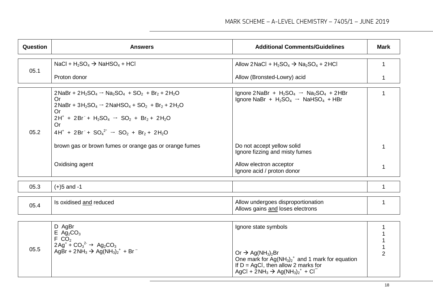| <b>Question</b> | <b>Answers</b>                                                                                                                                                                                                                                                                                                                                                 | <b>Additional Comments/Guidelines</b>                                                                                                                                                                                              | Mark |
|-----------------|----------------------------------------------------------------------------------------------------------------------------------------------------------------------------------------------------------------------------------------------------------------------------------------------------------------------------------------------------------------|------------------------------------------------------------------------------------------------------------------------------------------------------------------------------------------------------------------------------------|------|
| 05.1            | NaCl + $H_2SO_4$ $\rightarrow$ NaHSO <sub>4</sub> + HCl                                                                                                                                                                                                                                                                                                        | Allow 2NaCl + $H_2SO_4$ $\rightarrow$ Na <sub>2</sub> SO <sub>4</sub> + 2HCl                                                                                                                                                       |      |
|                 | Proton donor                                                                                                                                                                                                                                                                                                                                                   | Allow (Bronsted-Lowry) acid                                                                                                                                                                                                        |      |
| 05.2            | $2NaBr + 2H_2SO_4 \rightarrow Na_2SO_4 + SO_2 + Br_2 + 2H_2O$<br><b>Or</b><br>$2NaBr + 3H_2SO_4 \rightarrow 2NaHSO_4 + SO_2 + Br_2 + 2H_2O$<br><b>Or</b><br>$2H^+ + 2Br + H_2SO_4 \rightarrow SO_2 + Br_2 + 2H_2O$<br>Or<br>$4H^+ + 2Br + SO_4^2 \rightarrow SO_2 + Br_2 + 2H_2O$<br>brown gas or brown fumes or orange gas or orange fumes<br>Oxidising agent | Ignore 2NaBr + $H_2SO_4 \rightarrow Na_2SO_4 + 2HBr$<br>Ignore NaBr + $H_2SO_4 \rightarrow NaHSO_4 + HBr$<br>Do not accept yellow solid<br>Ignore fizzing and misty fumes<br>Allow electron acceptor<br>Ignore acid / proton donor |      |
| 05.3            | $(+)5$ and -1                                                                                                                                                                                                                                                                                                                                                  |                                                                                                                                                                                                                                    | 1    |
| 05.4            | Is oxidised and reduced                                                                                                                                                                                                                                                                                                                                        | Allow undergoes disproportionation<br>Allows gains and loses electrons                                                                                                                                                             |      |
|                 |                                                                                                                                                                                                                                                                                                                                                                |                                                                                                                                                                                                                                    |      |

|      | D AgBr<br>$E \text{Ag}_2CO_3$                                                                                                                                                                                          | Ignore state symbols                                                                                                                                                                                    |  |
|------|------------------------------------------------------------------------------------------------------------------------------------------------------------------------------------------------------------------------|---------------------------------------------------------------------------------------------------------------------------------------------------------------------------------------------------------|--|
| 05.5 | FCO <sub>2</sub><br>$\mu$ 2Ag <sup>+</sup> + CO <sub>3</sub> <sup>2-</sup> → Ag <sub>2</sub> CO <sub>3</sub><br>AgBr + 2NH <sub>3</sub> $\rightarrow$ Ag(NH <sub>3</sub> ) <sub>2</sub> <sup>+</sup> + Br <sup>-</sup> | Or $\rightarrow$ Ag(NH <sub>3</sub> ) <sub>2</sub> Br                                                                                                                                                   |  |
|      |                                                                                                                                                                                                                        | One mark for $Ag(NH_3)_2^+$ and 1 mark for equation<br>If $D = AgCI$ , then allow 2 marks for<br>AgCl + 2NH <sub>3</sub> $\rightarrow$ Ag(NH <sub>3</sub> ) <sub>2</sub> <sup>+</sup> + Cl <sup>-</sup> |  |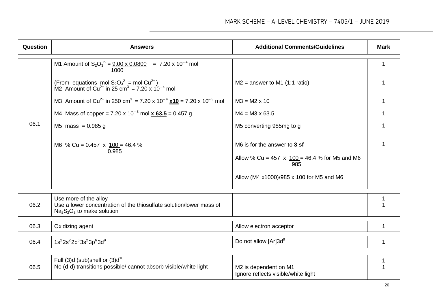Ignore reflects visible/white light

| Question | <b>Answers</b>                                                                                                                                                                                                                                                                                                                                                                                                                                                                                             | <b>Additional Comments/Guidelines</b>                                                                                                                                                                                                             | <b>Mark</b> |
|----------|------------------------------------------------------------------------------------------------------------------------------------------------------------------------------------------------------------------------------------------------------------------------------------------------------------------------------------------------------------------------------------------------------------------------------------------------------------------------------------------------------------|---------------------------------------------------------------------------------------------------------------------------------------------------------------------------------------------------------------------------------------------------|-------------|
| 06.1     | M1 Amount of $S_2O_3^{2} = 9.00 \times 0.0800 = 7.20 \times 10^{-4}$ mol<br>1000<br>(From equations mol $S_2O_3^{2}$ = mol Cu <sup>2+</sup> )<br>M2 Amount of Cu <sup>2+</sup> in 25 cm <sup>3</sup> = 7.20 x 10 <sup>-4</sup> mol<br>M3 Amount of Cu <sup>2+</sup> in 250 cm <sup>3</sup> = 7.20 x 10 <sup>-4</sup> x10 = 7.20 x 10 <sup>-3</sup> mol<br>M4 Mass of copper = 7.20 x 10 <sup>-3</sup> mol $\times$ 63.5 = 0.457 g<br>M5 mass = $0.985$ g<br>M6 % Cu = $0.457 \times 100 = 46.4$ %<br>0.985 | $M2$ = answer to M1 (1:1 ratio)<br>$M3 = M2 \times 10$<br>$M4 = M3 \times 63.5$<br>M5 converting 985mg to g<br>M6 is for the answer to 3 sf<br>Allow % Cu = 457 x $100 = 46.4$ % for M5 and M6<br>985<br>Allow (M4 x1000)/985 x 100 for M5 and M6 | 1           |
| 06.2     | Use more of the alloy<br>Use a lower concentration of the thiosulfate solution/lower mass of<br>$Na2S2O3$ to make solution                                                                                                                                                                                                                                                                                                                                                                                 |                                                                                                                                                                                                                                                   |             |
| 06.3     | Oxidizing agent                                                                                                                                                                                                                                                                                                                                                                                                                                                                                            | Allow electron acceptor                                                                                                                                                                                                                           | 1           |
| 06.4     | $1s^{2}2s^{2}2p^{6}3s^{2}3p^{6}3d^{9}$                                                                                                                                                                                                                                                                                                                                                                                                                                                                     | Do not allow [Ar]3d <sup>9</sup>                                                                                                                                                                                                                  | 1           |
| 06.5     | Full $(3)d$ (sub)shell or $(3)d^{10}$<br>No (d-d) transitions possible/ cannot absorb visible/white light                                                                                                                                                                                                                                                                                                                                                                                                  | M2 is dependent on M1                                                                                                                                                                                                                             |             |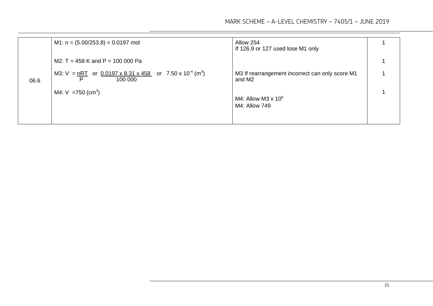|      | M1: $n = (5.00/253.8) = 0.0197$ mol                                                                         | Allow 254<br>If 126.9 or 127 used lose M1 only            |  |
|------|-------------------------------------------------------------------------------------------------------------|-----------------------------------------------------------|--|
|      | M2: $T = 458$ K and P = 100 000 Pa                                                                          |                                                           |  |
| 06.6 | M3: $V = nRT$ or $0.0197 \times 8.31 \times 458$ or $7.50 \times 10^{-4}$ (m <sup>3</sup> )<br>100 000<br>P | M3 If rearrangement incorrect can only score M1<br>and M2 |  |
|      | M4: $V = 750$ (cm <sup>3</sup> )                                                                            | M4: Allow M3 $\times$ 10 <sup>6</sup><br>M4: Allow 749    |  |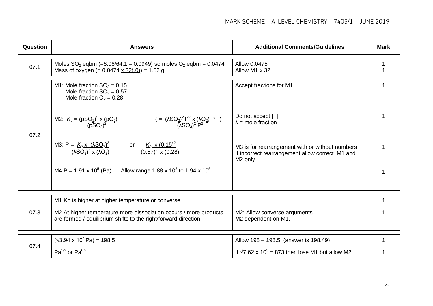| Question | <b>Answers</b>                                                                                                                      | <b>Additional Comments/Guidelines</b>                                                                                     | <b>Mark</b> |
|----------|-------------------------------------------------------------------------------------------------------------------------------------|---------------------------------------------------------------------------------------------------------------------------|-------------|
| 07.1     | Moles $SO_2$ eqbm (=6.08/64.1 = 0.0949) so moles $O_2$ eqbm = 0.0474<br>Mass of oxygen (= $0.0474 \times 32(.0)$ ) = 1.52 g         | Allow 0.0475<br>Allow M1 x 32                                                                                             |             |
| 07.2     | M1: Mole fraction $SO_3 = 0.15$<br>Mole fraction $SO_2 = 0.57$<br>Mole fraction $O_2 = 0.28$                                        | Accept fractions for M1                                                                                                   |             |
|          | $( = (\frac{\lambda SO_2)^2 P^2 x (\lambda O_2) P}{(\lambda SO_3)^2 P^2})$<br>M2: $K_p = \frac{(pSQ_2)^2 \times (pQ_2)}{(pSQ_3)^2}$ | Do not accept [ ]<br>$\lambda$ = mole fraction                                                                            |             |
|          | M3: P = $K_2 x (\lambda SO_3)^2$<br>( $\lambda SO_2$ ) <sup>2</sup> x ( $\lambda O_2$ )<br>(0.57) <sup>2</sup> x (0.28)             | M3 is for rearrangement with or without numbers<br>If incorrect rearrangement allow correct M1 and<br>M <sub>2</sub> only |             |
|          | Allow range 1.88 x 10 <sup>5</sup> to 1.94 x 10 <sup>5</sup><br>M4 P = $1.91 \times 10^5$ (Pa)                                      |                                                                                                                           |             |
|          | M1 Kp is higher at higher temperature or converse                                                                                   |                                                                                                                           |             |
| 07.3     | M2 At higher temperature more dissociation occurs / more products<br>are formed / equilibrium shifts to the right/forward direction | M2: Allow converse arguments<br>M2 dependent on M1.                                                                       |             |
| 07.4     | $(\sqrt{3.94 \times 10^4} \text{ Pa}) = 198.5$                                                                                      | Allow 198 - 198.5 (answer is 198.49)                                                                                      |             |
|          | $Pa^{1/2}$ or Pa <sup>0.5</sup>                                                                                                     | If $\sqrt{7.62 \times 10^5}$ = 873 then lose M1 but allow M2                                                              |             |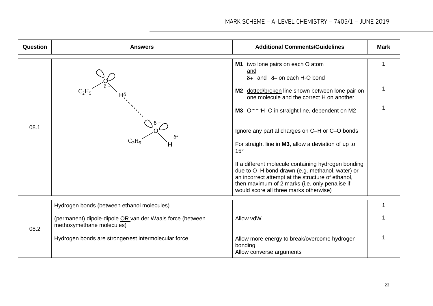| Question | <b>Answers</b>                                                                         | <b>Additional Comments/Guidelines</b>                                                                                                                                                                                                                                                                                                                                                                                                                                                                                                                                                                                       | <b>Mark</b> |
|----------|----------------------------------------------------------------------------------------|-----------------------------------------------------------------------------------------------------------------------------------------------------------------------------------------------------------------------------------------------------------------------------------------------------------------------------------------------------------------------------------------------------------------------------------------------------------------------------------------------------------------------------------------------------------------------------------------------------------------------------|-------------|
| 08.1     |                                                                                        | M1 two lone pairs on each O atom<br>and<br>$\delta$ + and $\delta$ – on each H-O bond<br>M2 dotted/broken line shown between lone pair on<br>one molecule and the correct H on another<br>M3 O. The O in straight line, dependent on M2<br>Ignore any partial charges on C-H or C-O bonds<br>For straight line in M3, allow a deviation of up to<br>$15^{\circ}$<br>If a different molecule containing hydrogen bonding<br>due to O-H bond drawn (e.g. methanol, water) or<br>an incorrect attempt at the structure of ethanol,<br>then maximum of 2 marks (i.e. only penalise if<br>would score all three marks otherwise) | 1           |
| 08.2     | Hydrogen bonds (between ethanol molecules)                                             |                                                                                                                                                                                                                                                                                                                                                                                                                                                                                                                                                                                                                             |             |
|          | (permanent) dipole-dipole OR van der Waals force (between<br>methoxymethane molecules) | Allow vdW                                                                                                                                                                                                                                                                                                                                                                                                                                                                                                                                                                                                                   |             |
|          | Hydrogen bonds are stronger/est intermolecular force                                   | Allow more energy to break/overcome hydrogen<br>bonding<br>Allow converse arguments                                                                                                                                                                                                                                                                                                                                                                                                                                                                                                                                         |             |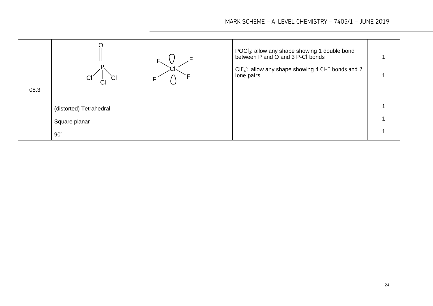| 08.3 | <b>CI</b><br>СI         | POCI <sub>3</sub> : allow any shape showing 1 double bond<br>between P and O and 3 P-CI bonds<br>$CIF_4$ : allow any shape showing 4 CI-F bonds and 2<br>lone pairs |  |
|------|-------------------------|---------------------------------------------------------------------------------------------------------------------------------------------------------------------|--|
|      | (distorted) Tetrahedral |                                                                                                                                                                     |  |
|      | Square planar           |                                                                                                                                                                     |  |
|      | $90^\circ$              |                                                                                                                                                                     |  |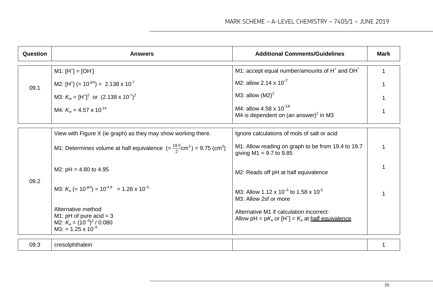| Question | <b>Answers</b>                                                                                                    | <b>Additional Comments/Guidelines</b>                                                                     | <b>Mark</b> |
|----------|-------------------------------------------------------------------------------------------------------------------|-----------------------------------------------------------------------------------------------------------|-------------|
| 09.1     | $M1: [H^+] = [OH]$                                                                                                | M1: accept equal number/amounts of H <sup>+</sup> and OH <sup>-</sup>                                     |             |
|          | M2: $[H^+]$ (= 10 <sup>-pH</sup> ) = 2.138 x 10 <sup>-7</sup>                                                     | M2: allow 2.14 x $10^{-7}$                                                                                |             |
|          | M3: $K_w = [H^+]^2$ or $(2.138 \times 10^{-7})^2$                                                                 | M3: allow $(M2)^2$                                                                                        |             |
|          | M4: $K_w = 4.57 \times 10^{-14}$                                                                                  | M4: allow 4.58 x 10 <sup>-14</sup><br>M4 is dependent on (an answer) <sup>2</sup> in M3                   |             |
| 09.2     | View with Figure X (ie graph) as they may show working there.                                                     | Ignore calculations of mols of salt or acid                                                               |             |
|          | M1: Determines volume at half equivalence $(=\frac{19.5}{2}$ cm <sup>3</sup> ) = 9.75 (cm <sup>3</sup> )          | M1: Allow reading on graph to be from 19.4 to 19.7<br>giving $M1 = 9.7$ to 9.85                           |             |
|          | M2: $pH = 4.80$ to 4.95                                                                                           | M2: Reads off pH at half equivalence                                                                      |             |
|          | M3: $K_a$ (= 10 <sup>-pH</sup> ) = 10 <sup>-4.9</sup> = 1.26 x 10 <sup>-5</sup>                                   | M3: Allow 1.12 x 10 <sup>-5</sup> to 1.58 x 10 <sup>-5</sup><br>M3: Allow 2sf or more                     |             |
|          | Alternative method<br>M1: $pH$ of pure acid = 3<br>M2: $K_a = (10^{-3})^2 / 0.080$<br>$M3: = 1.25 \times 10^{-5}$ | Alternative M1 if calculation incorrect:<br>Allow pH = $pK_a$ or $[H^+] = K_a$ at <u>half equivalence</u> |             |
| 09.3     | cresolphthalein                                                                                                   |                                                                                                           |             |